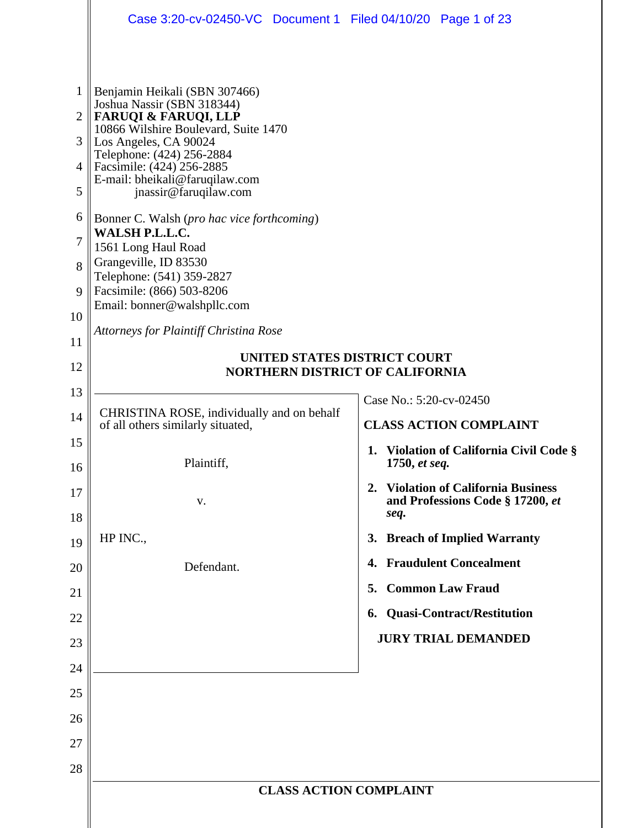|                | Case 3:20-cv-02450-VC Document 1 Filed 04/10/20 Page 1 of 23            |                                                                                 |  |  |  |  |  |  |  |
|----------------|-------------------------------------------------------------------------|---------------------------------------------------------------------------------|--|--|--|--|--|--|--|
|                |                                                                         |                                                                                 |  |  |  |  |  |  |  |
| 1              | Benjamin Heikali (SBN 307466)<br>Joshua Nassir (SBN 318344)             |                                                                                 |  |  |  |  |  |  |  |
| $\overline{2}$ | <b>FARUQI &amp; FARUQI, LLP</b><br>10866 Wilshire Boulevard, Suite 1470 |                                                                                 |  |  |  |  |  |  |  |
| 3              | Los Angeles, CA 90024<br>Telephone: (424) 256-2884                      |                                                                                 |  |  |  |  |  |  |  |
| 4              | Facsimile: (424) 256-2885<br>E-mail: bheikali@faruqilaw.com             |                                                                                 |  |  |  |  |  |  |  |
| 5              | jnassir@faruqilaw.com                                                   |                                                                                 |  |  |  |  |  |  |  |
| 6              | Bonner C. Walsh (pro hac vice forthcoming)                              |                                                                                 |  |  |  |  |  |  |  |
| 7              | WALSH P.L.L.C.<br>1561 Long Haul Road                                   |                                                                                 |  |  |  |  |  |  |  |
| 8              | Grangeville, ID 83530<br>Telephone: (541) 359-2827                      |                                                                                 |  |  |  |  |  |  |  |
| 9              | Facsimile: (866) 503-8206                                               |                                                                                 |  |  |  |  |  |  |  |
| 10             | Email: bonner@walshpllc.com                                             |                                                                                 |  |  |  |  |  |  |  |
| 11             | <b>Attorneys for Plaintiff Christina Rose</b>                           |                                                                                 |  |  |  |  |  |  |  |
| 12             | UNITED STATES DISTRICT COURT<br><b>NORTHERN DISTRICT OF CALIFORNIA</b>  |                                                                                 |  |  |  |  |  |  |  |
| 13             |                                                                         |                                                                                 |  |  |  |  |  |  |  |
| 14             | CHRISTINA ROSE, individually and on behalf                              | Case No.: 5:20-cv-02450                                                         |  |  |  |  |  |  |  |
| 15             | of all others similarly situated,                                       | <b>CLASS ACTION COMPLAINT</b>                                                   |  |  |  |  |  |  |  |
| 16             | Plaintiff,                                                              | 1. Violation of California Civil Code §<br>1750, et seq.                        |  |  |  |  |  |  |  |
| 17<br>18       | V.                                                                      | 2. Violation of California Business<br>and Professions Code § 17200, et<br>seq. |  |  |  |  |  |  |  |
| 19             | HP INC.,                                                                | 3. Breach of Implied Warranty                                                   |  |  |  |  |  |  |  |
| 20             | Defendant.                                                              | 4. Fraudulent Concealment                                                       |  |  |  |  |  |  |  |
| 21             |                                                                         | 5. Common Law Fraud                                                             |  |  |  |  |  |  |  |
| 22             |                                                                         | 6. Quasi-Contract/Restitution                                                   |  |  |  |  |  |  |  |
| 23             |                                                                         | <b>JURY TRIAL DEMANDED</b>                                                      |  |  |  |  |  |  |  |
| 24             |                                                                         |                                                                                 |  |  |  |  |  |  |  |
| 25             |                                                                         |                                                                                 |  |  |  |  |  |  |  |
| 26             |                                                                         |                                                                                 |  |  |  |  |  |  |  |
| 27             |                                                                         |                                                                                 |  |  |  |  |  |  |  |
| 28             |                                                                         |                                                                                 |  |  |  |  |  |  |  |
|                | <b>CLASS ACTION COMPLAINT</b>                                           |                                                                                 |  |  |  |  |  |  |  |
|                |                                                                         |                                                                                 |  |  |  |  |  |  |  |
|                |                                                                         |                                                                                 |  |  |  |  |  |  |  |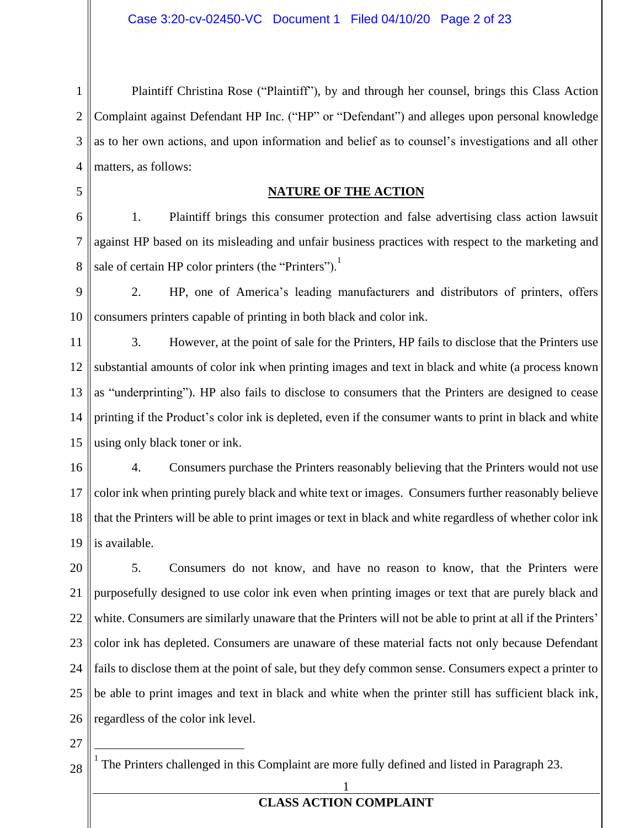1 2 3 4 Plaintiff Christina Rose ("Plaintiff"), by and through her counsel, brings this Class Action Complaint against Defendant HP Inc. ("HP" or "Defendant") and alleges upon personal knowledge as to her own actions, and upon information and belief as to counsel's investigations and all other matters, as follows:

5

#### **NATURE OF THE ACTION**

6 7 8 1. Plaintiff brings this consumer protection and false advertising class action lawsuit against HP based on its misleading and unfair business practices with respect to the marketing and sale of certain HP color printers (the "Printers"). $<sup>1</sup>$ </sup>

9 10 2. HP, one of America's leading manufacturers and distributors of printers, offers consumers printers capable of printing in both black and color ink.

11 12 13 14 15 3. However, at the point of sale for the Printers, HP fails to disclose that the Printers use substantial amounts of color ink when printing images and text in black and white (a process known as "underprinting"). HP also fails to disclose to consumers that the Printers are designed to cease printing if the Product's color ink is depleted, even if the consumer wants to print in black and white using only black toner or ink.

16 17 18 19 4. Consumers purchase the Printers reasonably believing that the Printers would not use color ink when printing purely black and white text or images. Consumers further reasonably believe that the Printers will be able to print images or text in black and white regardless of whether color ink is available.

20 21 22 23 24 25 26 5. Consumers do not know, and have no reason to know, that the Printers were purposefully designed to use color ink even when printing images or text that are purely black and white. Consumers are similarly unaware that the Printers will not be able to print at all if the Printers' color ink has depleted. Consumers are unaware of these material facts not only because Defendant fails to disclose them at the point of sale, but they defy common sense. Consumers expect a printer to be able to print images and text in black and white when the printer still has sufficient black ink, regardless of the color ink level.

27

28 1 The Printers challenged in this Complaint are more fully defined and listed in Paragraph 23.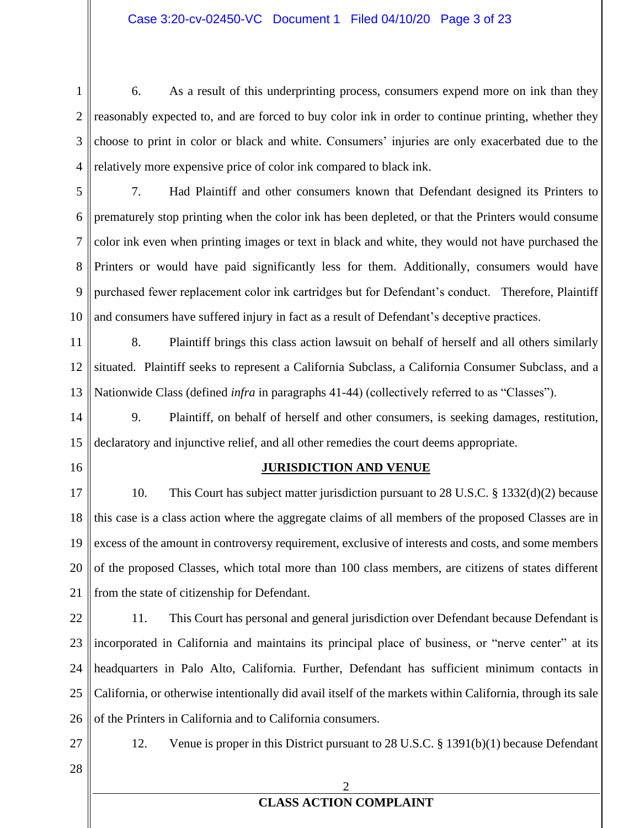#### Case 3:20-cv-02450-VC Document 1 Filed 04/10/20 Page 3 of 23

1 2 3 4 6. As a result of this underprinting process, consumers expend more on ink than they reasonably expected to, and are forced to buy color ink in order to continue printing, whether they choose to print in color or black and white. Consumers' injuries are only exacerbated due to the relatively more expensive price of color ink compared to black ink.

5 6 7 8 9 10 7. Had Plaintiff and other consumers known that Defendant designed its Printers to prematurely stop printing when the color ink has been depleted, or that the Printers would consume color ink even when printing images or text in black and white, they would not have purchased the Printers or would have paid significantly less for them. Additionally, consumers would have purchased fewer replacement color ink cartridges but for Defendant's conduct. Therefore, Plaintiff and consumers have suffered injury in fact as a result of Defendant's deceptive practices.

11 12 13 8. Plaintiff brings this class action lawsuit on behalf of herself and all others similarly situated. Plaintiff seeks to represent a California Subclass, a California Consumer Subclass, and a Nationwide Class (defined *infra* in paragraphs 41-44) (collectively referred to as "Classes").

14 15 9. Plaintiff, on behalf of herself and other consumers, is seeking damages, restitution, declaratory and injunctive relief, and all other remedies the court deems appropriate.

16

#### **JURISDICTION AND VENUE**

17 18 19 20 21 10. This Court has subject matter jurisdiction pursuant to 28 U.S.C. § 1332(d)(2) because this case is a class action where the aggregate claims of all members of the proposed Classes are in excess of the amount in controversy requirement, exclusive of interests and costs, and some members of the proposed Classes, which total more than 100 class members, are citizens of states different from the state of citizenship for Defendant.

22 23 24 25 26 11. This Court has personal and general jurisdiction over Defendant because Defendant is incorporated in California and maintains its principal place of business, or "nerve center" at its headquarters in Palo Alto, California. Further, Defendant has sufficient minimum contacts in California, or otherwise intentionally did avail itself of the markets within California, through its sale of the Printers in California and to California consumers.

27

12. Venue is proper in this District pursuant to 28 U.S.C. § 1391(b)(1) because Defendant

28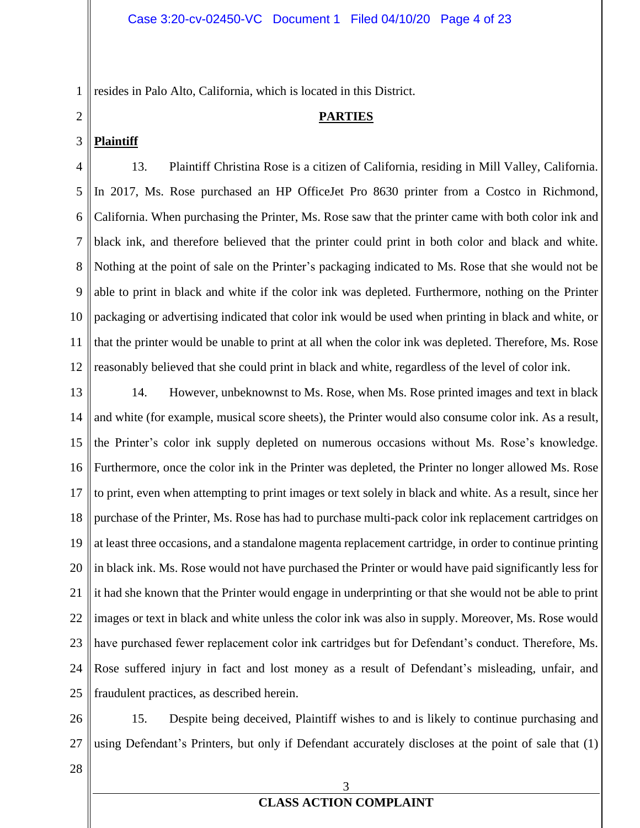1 resides in Palo Alto, California, which is located in this District.

#### **PARTIES**

#### 3 **Plaintiff**

2

4 5 6 7 8 9 10 11 12 13. Plaintiff Christina Rose is a citizen of California, residing in Mill Valley, California. In 2017, Ms. Rose purchased an HP OfficeJet Pro 8630 printer from a Costco in Richmond, California. When purchasing the Printer, Ms. Rose saw that the printer came with both color ink and black ink, and therefore believed that the printer could print in both color and black and white. Nothing at the point of sale on the Printer's packaging indicated to Ms. Rose that she would not be able to print in black and white if the color ink was depleted. Furthermore, nothing on the Printer packaging or advertising indicated that color ink would be used when printing in black and white, or that the printer would be unable to print at all when the color ink was depleted. Therefore, Ms. Rose reasonably believed that she could print in black and white, regardless of the level of color ink.

13 14 15 16 17 18 19 20 21 22 23 24 25 14. However, unbeknownst to Ms. Rose, when Ms. Rose printed images and text in black and white (for example, musical score sheets), the Printer would also consume color ink. As a result, the Printer's color ink supply depleted on numerous occasions without Ms. Rose's knowledge. Furthermore, once the color ink in the Printer was depleted, the Printer no longer allowed Ms. Rose to print, even when attempting to print images or text solely in black and white. As a result, since her purchase of the Printer, Ms. Rose has had to purchase multi-pack color ink replacement cartridges on at least three occasions, and a standalone magenta replacement cartridge, in order to continue printing in black ink. Ms. Rose would not have purchased the Printer or would have paid significantly less for it had she known that the Printer would engage in underprinting or that she would not be able to print images or text in black and white unless the color ink was also in supply. Moreover, Ms. Rose would have purchased fewer replacement color ink cartridges but for Defendant's conduct. Therefore, Ms. Rose suffered injury in fact and lost money as a result of Defendant's misleading, unfair, and fraudulent practices, as described herein.

26 27 15. Despite being deceived, Plaintiff wishes to and is likely to continue purchasing and using Defendant's Printers, but only if Defendant accurately discloses at the point of sale that (1)

28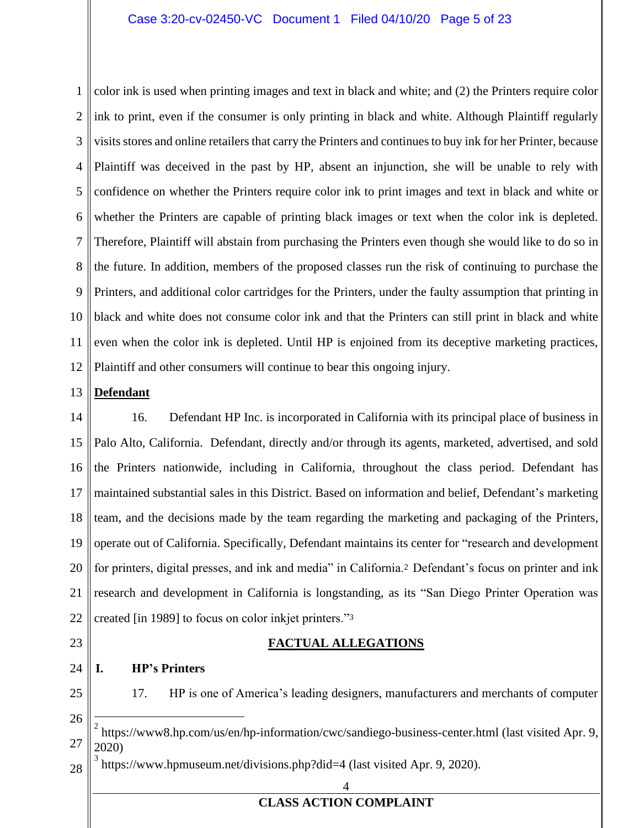#### Case 3:20-cv-02450-VC Document 1 Filed 04/10/20 Page 5 of 23

1 2 3 4 5 6 7 8 9 10 11 12 color ink is used when printing images and text in black and white; and (2) the Printers require color ink to print, even if the consumer is only printing in black and white. Although Plaintiff regularly visits stores and online retailers that carry the Printers and continues to buy ink for her Printer, because Plaintiff was deceived in the past by HP, absent an injunction, she will be unable to rely with confidence on whether the Printers require color ink to print images and text in black and white or whether the Printers are capable of printing black images or text when the color ink is depleted. Therefore, Plaintiff will abstain from purchasing the Printers even though she would like to do so in the future. In addition, members of the proposed classes run the risk of continuing to purchase the Printers, and additional color cartridges for the Printers, under the faulty assumption that printing in black and white does not consume color ink and that the Printers can still print in black and white even when the color ink is depleted. Until HP is enjoined from its deceptive marketing practices, Plaintiff and other consumers will continue to bear this ongoing injury.

#### 13 **Defendant**

14 15 16 17 18 19 20 21 22 16. Defendant HP Inc. is incorporated in California with its principal place of business in Palo Alto, California. Defendant, directly and/or through its agents, marketed, advertised, and sold the Printers nationwide, including in California, throughout the class period. Defendant has maintained substantial sales in this District. Based on information and belief, Defendant's marketing team, and the decisions made by the team regarding the marketing and packaging of the Printers, operate out of California. Specifically, Defendant maintains its center for "research and development for printers, digital presses, and ink and media" in California.<sup>2</sup> Defendant's focus on printer and ink research and development in California is longstanding, as its "San Diego Printer Operation was created [in 1989] to focus on color inkjet printers."<sup>3</sup>

23

#### **FACTUAL ALLEGATIONS**

24 **I. HP's Printers**

25

17. HP is one of America's leading designers, manufacturers and merchants of computer

26

27 2 https://www8.hp.com/us/en/hp-information/cwc/sandiego-business-center.html (last visited Apr. 9, 2020)

28 3 https://www.hpmuseum.net/divisions.php?did=4 (last visited Apr. 9, 2020).

4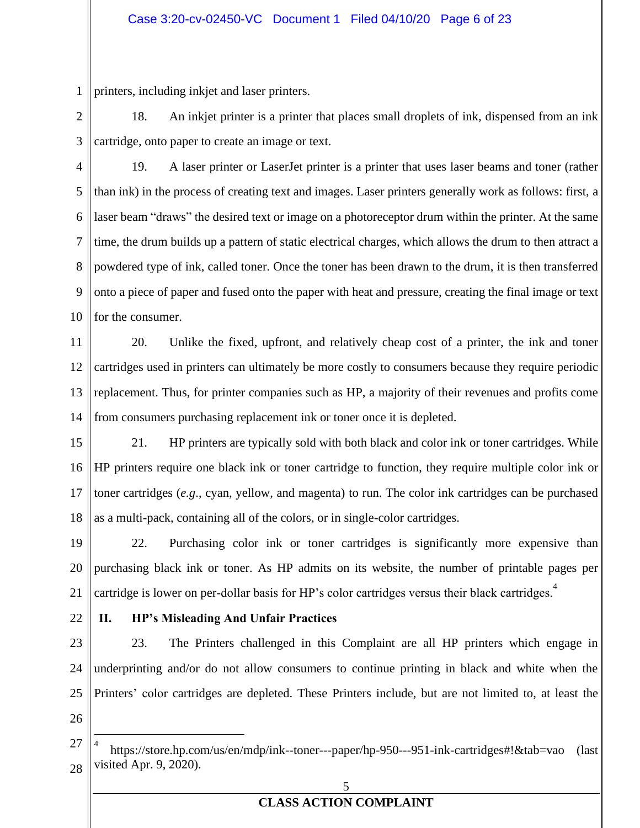1 printers, including inkjet and laser printers.

2 3 18. An inkjet printer is a printer that places small droplets of ink, dispensed from an ink cartridge, onto paper to create an image or text.

4 5 6 7 8 9 10 19. A laser printer or LaserJet printer is a printer that uses laser beams and toner (rather than ink) in the process of creating text and images. Laser printers generally work as follows: first, a laser beam "draws" the desired text or image on a photoreceptor drum within the printer. At the same time, the drum builds up a pattern of static electrical charges, which allows the drum to then attract a powdered type of ink, called toner. Once the toner has been drawn to the drum, it is then transferred onto a piece of paper and fused onto the paper with heat and pressure, creating the final image or text for the consumer.

11 12 13 14 20. Unlike the fixed, upfront, and relatively cheap cost of a printer, the ink and toner cartridges used in printers can ultimately be more costly to consumers because they require periodic replacement. Thus, for printer companies such as HP, a majority of their revenues and profits come from consumers purchasing replacement ink or toner once it is depleted.

15 16 17 18 21. HP printers are typically sold with both black and color ink or toner cartridges. While HP printers require one black ink or toner cartridge to function, they require multiple color ink or toner cartridges (*e.g*., cyan, yellow, and magenta) to run. The color ink cartridges can be purchased as a multi-pack, containing all of the colors, or in single-color cartridges.

19 20 21 22. Purchasing color ink or toner cartridges is significantly more expensive than purchasing black ink or toner. As HP admits on its website, the number of printable pages per cartridge is lower on per-dollar basis for HP's color cartridges versus their black cartridges.<sup>4</sup>

22

### **II. HP's Misleading And Unfair Practices**

23 24 25 26 23. The Printers challenged in this Complaint are all HP printers which engage in underprinting and/or do not allow consumers to continue printing in black and white when the Printers' color cartridges are depleted. These Printers include, but are not limited to, at least the

<sup>27</sup> 28 4 https://store.hp.com/us/en/mdp/ink--toner---paper/hp-950---951-ink-cartridges#!&tab=vao (last visited Apr. 9, 2020).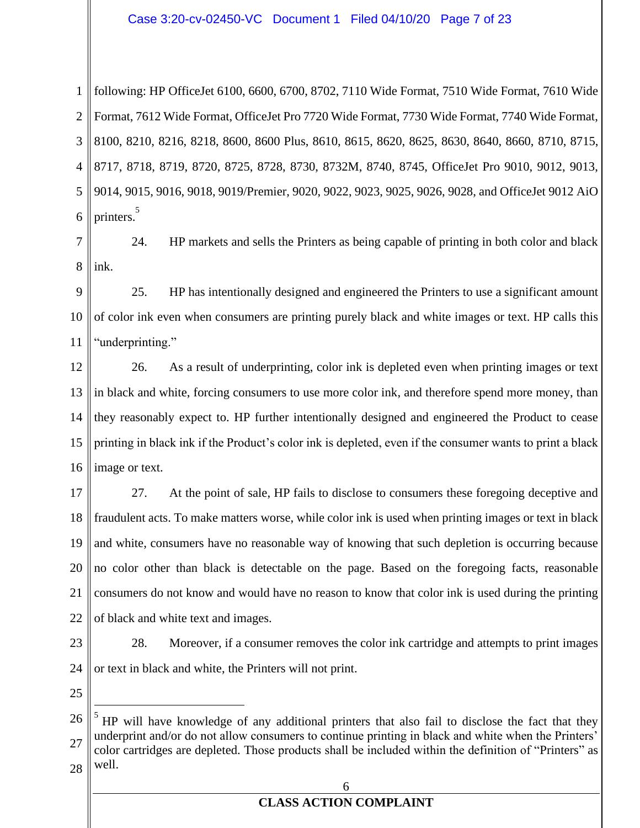#### Case 3:20-cv-02450-VC Document 1 Filed 04/10/20 Page 7 of 23

1 2 3 4 5 6 following: HP OfficeJet 6100, 6600, 6700, 8702, 7110 Wide Format, 7510 Wide Format, 7610 Wide Format, 7612 Wide Format, OfficeJet Pro 7720 Wide Format, 7730 Wide Format, 7740 Wide Format, 8100, 8210, 8216, 8218, 8600, 8600 Plus, 8610, 8615, 8620, 8625, 8630, 8640, 8660, 8710, 8715, 8717, 8718, 8719, 8720, 8725, 8728, 8730, 8732M, 8740, 8745, OfficeJet Pro 9010, 9012, 9013, 9014, 9015, 9016, 9018, 9019/Premier, 9020, 9022, 9023, 9025, 9026, 9028, and OfficeJet 9012 AiO printers.<sup>5</sup>

7 8 24. HP markets and sells the Printers as being capable of printing in both color and black ink.

9 10 11 25. HP has intentionally designed and engineered the Printers to use a significant amount of color ink even when consumers are printing purely black and white images or text. HP calls this "underprinting."

12 13 14 15 16 26. As a result of underprinting, color ink is depleted even when printing images or text in black and white, forcing consumers to use more color ink, and therefore spend more money, than they reasonably expect to. HP further intentionally designed and engineered the Product to cease printing in black ink if the Product's color ink is depleted, even if the consumer wants to print a black image or text.

17 18 19 20 21 22 27. At the point of sale, HP fails to disclose to consumers these foregoing deceptive and fraudulent acts. To make matters worse, while color ink is used when printing images or text in black and white, consumers have no reasonable way of knowing that such depletion is occurring because no color other than black is detectable on the page. Based on the foregoing facts, reasonable consumers do not know and would have no reason to know that color ink is used during the printing of black and white text and images.

23

24 28. Moreover, if a consumer removes the color ink cartridge and attempts to print images or text in black and white, the Printers will not print.

25

#### 6

<sup>26</sup> 27 28 5 HP will have knowledge of any additional printers that also fail to disclose the fact that they underprint and/or do not allow consumers to continue printing in black and white when the Printers' color cartridges are depleted. Those products shall be included within the definition of "Printers" as well.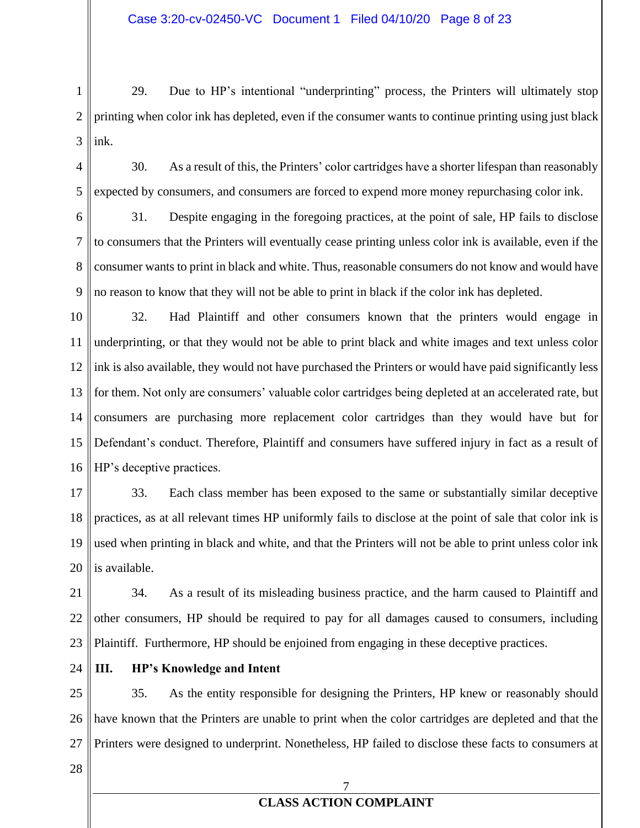1 2 3 29. Due to HP's intentional "underprinting" process, the Printers will ultimately stop printing when color ink has depleted, even if the consumer wants to continue printing using just black ink.

4 5 30. As a result of this, the Printers' color cartridges have a shorter lifespan than reasonably expected by consumers, and consumers are forced to expend more money repurchasing color ink.

6 7 8 9 31. Despite engaging in the foregoing practices, at the point of sale, HP fails to disclose to consumers that the Printers will eventually cease printing unless color ink is available, even if the consumer wants to print in black and white. Thus, reasonable consumers do not know and would have no reason to know that they will not be able to print in black if the color ink has depleted.

10 11 12 13 14 15 16 32. Had Plaintiff and other consumers known that the printers would engage in underprinting, or that they would not be able to print black and white images and text unless color ink is also available, they would not have purchased the Printers or would have paid significantly less for them. Not only are consumers' valuable color cartridges being depleted at an accelerated rate, but consumers are purchasing more replacement color cartridges than they would have but for Defendant's conduct. Therefore, Plaintiff and consumers have suffered injury in fact as a result of HP's deceptive practices.

17 18 19 20 33. Each class member has been exposed to the same or substantially similar deceptive practices, as at all relevant times HP uniformly fails to disclose at the point of sale that color ink is used when printing in black and white, and that the Printers will not be able to print unless color ink is available.

21 22 23 34. As a result of its misleading business practice, and the harm caused to Plaintiff and other consumers, HP should be required to pay for all damages caused to consumers, including Plaintiff. Furthermore, HP should be enjoined from engaging in these deceptive practices.

24

### **III. HP's Knowledge and Intent**

25 26 27 35. As the entity responsible for designing the Printers, HP knew or reasonably should have known that the Printers are unable to print when the color cartridges are depleted and that the Printers were designed to underprint. Nonetheless, HP failed to disclose these facts to consumers at

28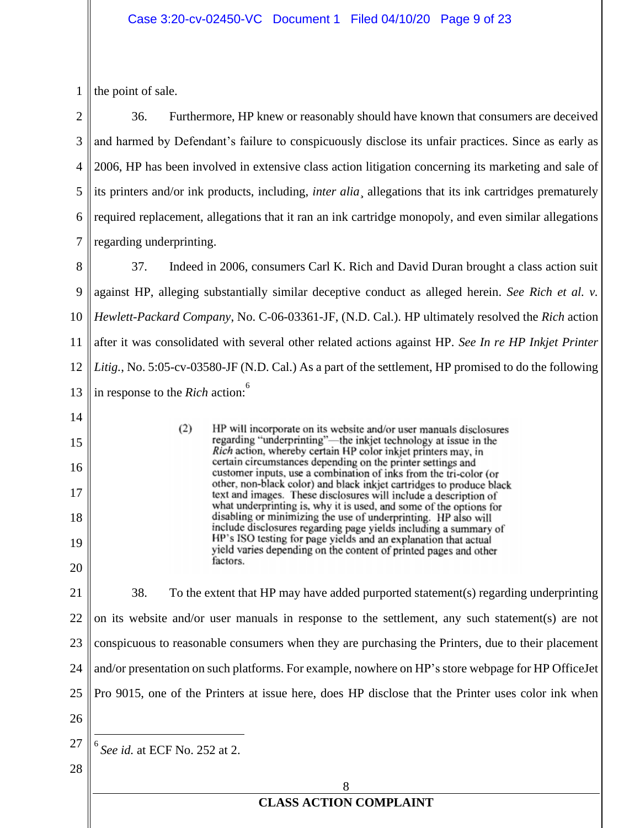#### Case 3:20-cv-02450-VC Document 1 Filed 04/10/20 Page 9 of 23

1 the point of sale.

2 3 4 5 6 7 36. Furthermore, HP knew or reasonably should have known that consumers are deceived and harmed by Defendant's failure to conspicuously disclose its unfair practices. Since as early as 2006, HP has been involved in extensive class action litigation concerning its marketing and sale of its printers and/or ink products, including, *inter alia*¸ allegations that its ink cartridges prematurely required replacement, allegations that it ran an ink cartridge monopoly, and even similar allegations regarding underprinting.

8 9 10 11 12 13 37. Indeed in 2006, consumers Carl K. Rich and David Duran brought a class action suit against HP, alleging substantially similar deceptive conduct as alleged herein. *See Rich et al. v. Hewlett-Packard Company*, No. C-06-03361-JF, (N.D. Cal.). HP ultimately resolved the *Rich* action after it was consolidated with several other related actions against HP. *See In re HP Inkjet Printer Litig.*, No. 5:05-cv-03580-JF (N.D. Cal.) As a part of the settlement, HP promised to do the following in response to the *Rich* action:<sup>6</sup>

> HP will incorporate on its website and/or user manuals disclosures regarding "underprinting"—the inkjet technology at issue in the Rich action, whereby certain HP color inkjet printers may, in certain circumstances depending on the printer settings and customer inputs, use a combination of inks from the tri-color (or other, non-black color) and black inkjet cartridges to produce black text and images. These disclosures will include a description of what underprinting is, why it is used, and some of the options for disabling or minimizing the use of underprinting. HP also will include disclosures regarding page yields including a summary of HP's ISO testing for page yields and an explanation that actual yield varies depending on the content of printed pages and other

- 14
- 15
- 16
- 17
- 18

19

20 21

22 23 24 25 26 38. To the extent that HP may have added purported statement(s) regarding underprinting on its website and/or user manuals in response to the settlement, any such statement(s) are not conspicuous to reasonable consumers when they are purchasing the Printers, due to their placement and/or presentation on such platforms. For example, nowhere on HP's store webpage for HP OfficeJet Pro 9015, one of the Printers at issue here, does HP disclose that the Printer uses color ink when

27 6 *See id.* at ECF No. 252 at 2.

 $(2)$ 

factors.

28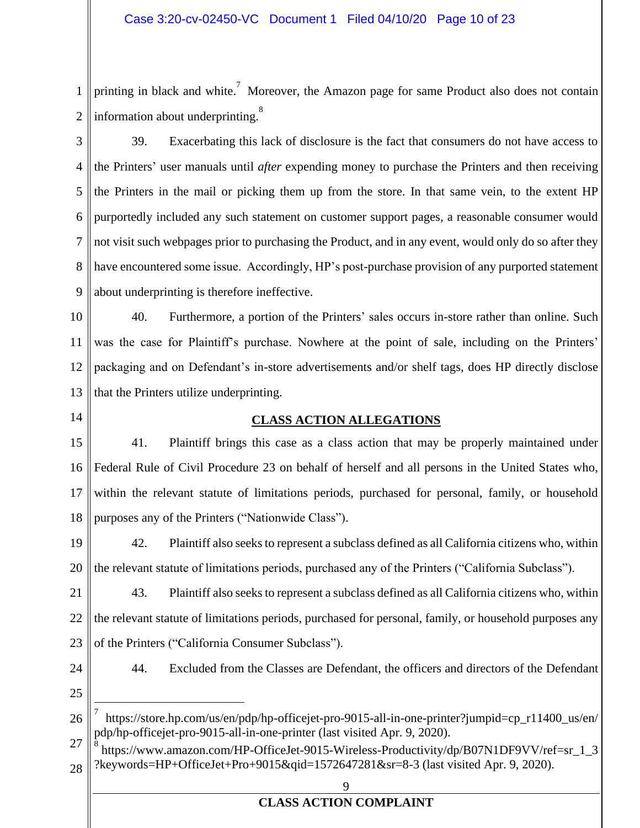1 2 printing in black and white.<sup>7</sup> Moreover, the Amazon page for same Product also does not contain information about underprinting.<sup>8</sup>

3

4 5 6 7 8 9 39. Exacerbating this lack of disclosure is the fact that consumers do not have access to the Printers' user manuals until *after* expending money to purchase the Printers and then receiving the Printers in the mail or picking them up from the store. In that same vein, to the extent HP purportedly included any such statement on customer support pages, a reasonable consumer would not visit such webpages prior to purchasing the Product, and in any event, would only do so after they have encountered some issue. Accordingly, HP's post-purchase provision of any purported statement about underprinting is therefore ineffective.

10 11 12 13 40. Furthermore, a portion of the Printers' sales occurs in-store rather than online. Such was the case for Plaintiff's purchase. Nowhere at the point of sale, including on the Printers' packaging and on Defendant's in-store advertisements and/or shelf tags, does HP directly disclose that the Printers utilize underprinting.

14

### **CLASS ACTION ALLEGATIONS**

15 16 17 18 41. Plaintiff brings this case as a class action that may be properly maintained under Federal Rule of Civil Procedure 23 on behalf of herself and all persons in the United States who, within the relevant statute of limitations periods, purchased for personal, family, or household purposes any of the Printers ("Nationwide Class").

19 20 42. Plaintiff also seeks to represent a subclass defined as all California citizens who, within the relevant statute of limitations periods, purchased any of the Printers ("California Subclass").

21 22 23 43. Plaintiff also seeksto represent a subclass defined as all California citizens who, within the relevant statute of limitations periods, purchased for personal, family, or household purposes any of the Printers ("California Consumer Subclass").

24

44. Excluded from the Classes are Defendant, the officers and directors of the Defendant

25

<sup>26</sup> 7 https://store.hp.com/us/en/pdp/hp-officejet-pro-9015-all-in-one-printer?jumpid=cp\_r11400\_us/en/ pdp/hp-officejet-pro-9015-all-in-one-printer (last visited Apr. 9, 2020).

<sup>27</sup> 28 8 https://www.amazon.com/HP-OfficeJet-9015-Wireless-Productivity/dp/B07N1DF9VV/ref=sr\_1\_3 ?keywords=HP+OfficeJet+Pro+9015&qid=1572647281&sr=8-3 (last visited Apr. 9, 2020).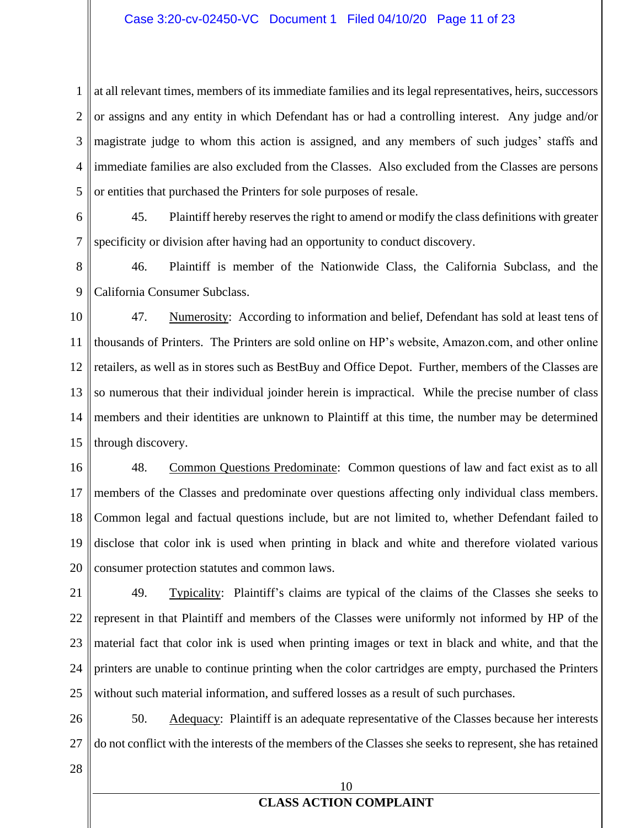1 2 3 4 5 at all relevant times, members of its immediate families and its legal representatives, heirs, successors or assigns and any entity in which Defendant has or had a controlling interest. Any judge and/or magistrate judge to whom this action is assigned, and any members of such judges' staffs and immediate families are also excluded from the Classes. Also excluded from the Classes are persons or entities that purchased the Printers for sole purposes of resale.

6 7 45. Plaintiff hereby reserves the right to amend or modify the class definitions with greater specificity or division after having had an opportunity to conduct discovery.

8 9 46. Plaintiff is member of the Nationwide Class, the California Subclass, and the California Consumer Subclass.

10 11 12 13 14 15 47. Numerosity: According to information and belief, Defendant has sold at least tens of thousands of Printers. The Printers are sold online on HP's website, Amazon.com, and other online retailers, as well as in stores such as BestBuy and Office Depot. Further, members of the Classes are so numerous that their individual joinder herein is impractical. While the precise number of class members and their identities are unknown to Plaintiff at this time, the number may be determined through discovery.

16 17 18 19 20 48. Common Questions Predominate: Common questions of law and fact exist as to all members of the Classes and predominate over questions affecting only individual class members. Common legal and factual questions include, but are not limited to, whether Defendant failed to disclose that color ink is used when printing in black and white and therefore violated various consumer protection statutes and common laws.

21 22 23 24 25 49. Typicality: Plaintiff's claims are typical of the claims of the Classes she seeks to represent in that Plaintiff and members of the Classes were uniformly not informed by HP of the material fact that color ink is used when printing images or text in black and white, and that the printers are unable to continue printing when the color cartridges are empty, purchased the Printers without such material information, and suffered losses as a result of such purchases.

26 27 50. Adequacy: Plaintiff is an adequate representative of the Classes because her interests do not conflict with the interests of the members of the Classes she seeks to represent, she has retained

28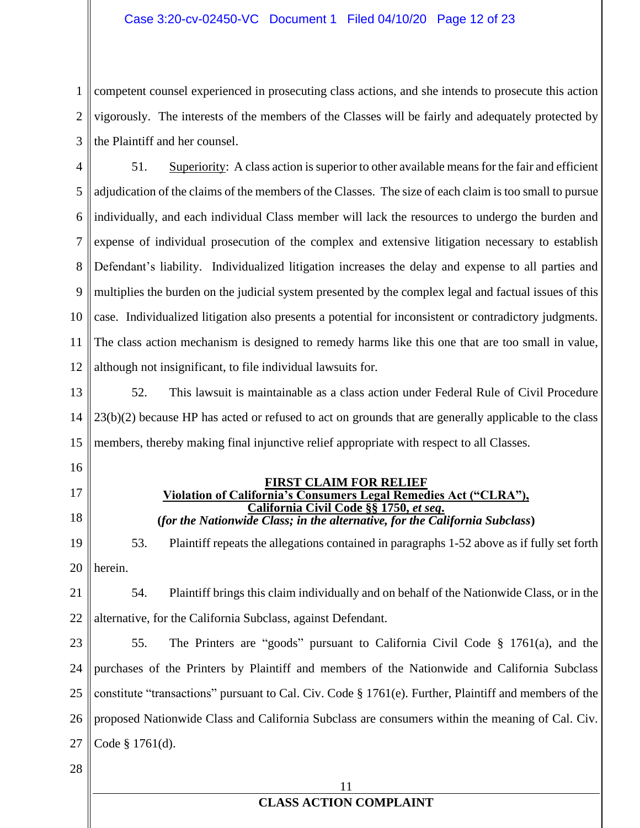1 2 3 competent counsel experienced in prosecuting class actions, and she intends to prosecute this action vigorously. The interests of the members of the Classes will be fairly and adequately protected by the Plaintiff and her counsel.

4 5 6 7 8 9 10 11 12 51. Superiority: A class action is superior to other available means for the fair and efficient adjudication of the claims of the members of the Classes. The size of each claim is too small to pursue individually, and each individual Class member will lack the resources to undergo the burden and expense of individual prosecution of the complex and extensive litigation necessary to establish Defendant's liability. Individualized litigation increases the delay and expense to all parties and multiplies the burden on the judicial system presented by the complex legal and factual issues of this case. Individualized litigation also presents a potential for inconsistent or contradictory judgments. The class action mechanism is designed to remedy harms like this one that are too small in value, although not insignificant, to file individual lawsuits for.

13 14 15 52. This lawsuit is maintainable as a class action under Federal Rule of Civil Procedure 23(b)(2) because HP has acted or refused to act on grounds that are generally applicable to the class members, thereby making final injunctive relief appropriate with respect to all Classes.

- 16
- 17
- 18

**FIRST CLAIM FOR RELIEF Violation of California's Consumers Legal Remedies Act ("CLRA"), California Civil Code §§ 1750,** *et seq***. (***for the Nationwide Class; in the alternative, for the California Subclass***)**

19 20 53. Plaintiff repeats the allegations contained in paragraphs 1-52 above as if fully set forth herein.

21 22 54. Plaintiff brings this claim individually and on behalf of the Nationwide Class, or in the alternative, for the California Subclass, against Defendant.

23 24 25 26 27 55. The Printers are "goods" pursuant to California Civil Code § 1761(a), and the purchases of the Printers by Plaintiff and members of the Nationwide and California Subclass constitute "transactions" pursuant to Cal. Civ. Code § 1761(e). Further, Plaintiff and members of the proposed Nationwide Class and California Subclass are consumers within the meaning of Cal. Civ. Code § 1761(d).

28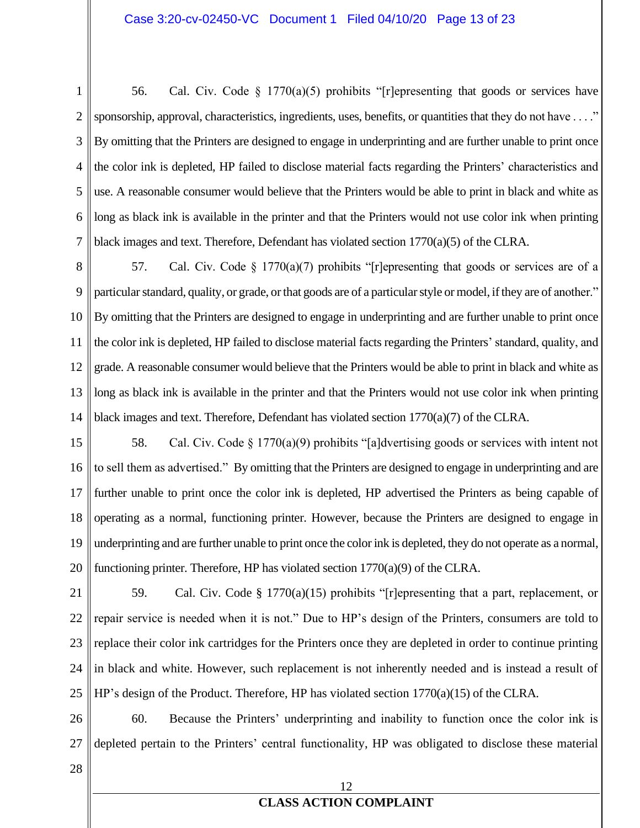1 2 3 4 5 6 7 56. Cal. Civ. Code  $\S$  1770(a)(5) prohibits "[r]epresenting that goods or services have sponsorship, approval, characteristics, ingredients, uses, benefits, or quantities that they do not have . . . ." By omitting that the Printers are designed to engage in underprinting and are further unable to print once the color ink is depleted, HP failed to disclose material facts regarding the Printers' characteristics and use. A reasonable consumer would believe that the Printers would be able to print in black and white as long as black ink is available in the printer and that the Printers would not use color ink when printing black images and text. Therefore, Defendant has violated section  $1770(a)(5)$  of the CLRA.

8 9 10 11 12 13 14 57. Cal. Civ. Code  $\S 1770(a)(7)$  prohibits "[r]epresenting that goods or services are of a particular standard, quality, or grade, or that goods are of a particular style or model, if they are of another." By omitting that the Printers are designed to engage in underprinting and are further unable to print once the color ink is depleted, HP failed to disclose material facts regarding the Printers' standard, quality, and grade. A reasonable consumer would believe that the Printers would be able to print in black and white as long as black ink is available in the printer and that the Printers would not use color ink when printing black images and text. Therefore, Defendant has violated section 1770(a)(7) of the CLRA.

15 16 17 18 19 20 58. Cal. Civ. Code  $\S 1770(a)(9)$  prohibits "[a]dvertising goods or services with intent not to sell them as advertised." By omitting that the Printers are designed to engage in underprinting and are further unable to print once the color ink is depleted, HP advertised the Printers as being capable of operating as a normal, functioning printer. However, because the Printers are designed to engage in underprinting and are further unable to print once the color ink is depleted, they do not operate as a normal, functioning printer. Therefore, HP has violated section 1770(a)(9) of the CLRA.

21 22 23 24 25 59. Cal. Civ. Code § 1770(a)(15) prohibits "[r]epresenting that a part, replacement, or repair service is needed when it is not." Due to HP's design of the Printers, consumers are told to replace their color ink cartridges for the Printers once they are depleted in order to continue printing in black and white. However, such replacement is not inherently needed and is instead a result of HP's design of the Product. Therefore, HP has violated section 1770(a)(15) of the CLRA.

26 27 60. Because the Printers' underprinting and inability to function once the color ink is depleted pertain to the Printers' central functionality, HP was obligated to disclose these material

28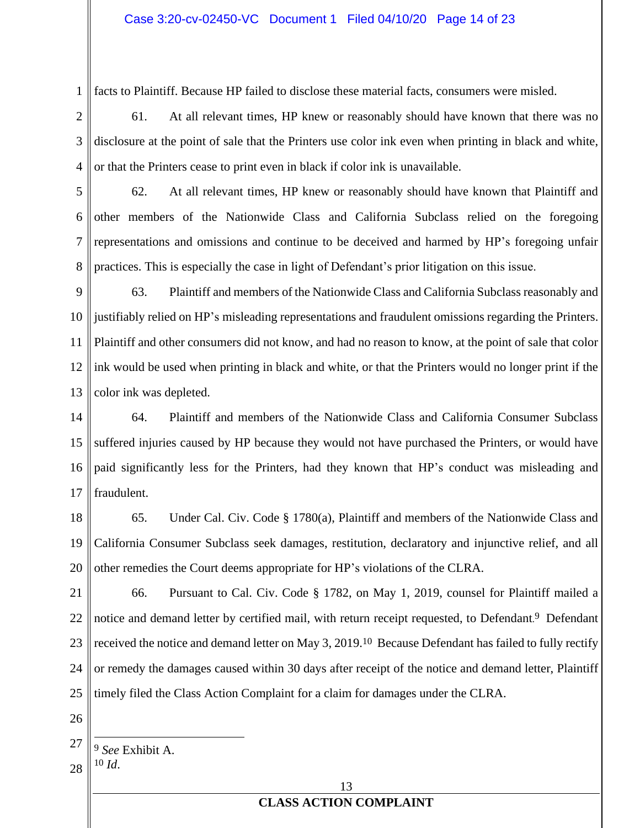1 facts to Plaintiff. Because HP failed to disclose these material facts, consumers were misled.

2 3 4 61. At all relevant times, HP knew or reasonably should have known that there was no disclosure at the point of sale that the Printers use color ink even when printing in black and white, or that the Printers cease to print even in black if color ink is unavailable.

5 6 7 8 62. At all relevant times, HP knew or reasonably should have known that Plaintiff and other members of the Nationwide Class and California Subclass relied on the foregoing representations and omissions and continue to be deceived and harmed by HP's foregoing unfair practices. This is especially the case in light of Defendant's prior litigation on this issue.

9 10 11 12 13 63. Plaintiff and members of the Nationwide Class and California Subclass reasonably and justifiably relied on HP's misleading representations and fraudulent omissions regarding the Printers. Plaintiff and other consumers did not know, and had no reason to know, at the point of sale that color ink would be used when printing in black and white, or that the Printers would no longer print if the color ink was depleted.

14 15 16 17 64. Plaintiff and members of the Nationwide Class and California Consumer Subclass suffered injuries caused by HP because they would not have purchased the Printers, or would have paid significantly less for the Printers, had they known that HP's conduct was misleading and fraudulent.

18 19 20 65. Under Cal. Civ. Code § 1780(a), Plaintiff and members of the Nationwide Class and California Consumer Subclass seek damages, restitution, declaratory and injunctive relief, and all other remedies the Court deems appropriate for HP's violations of the CLRA.

21 22 23 24 25 66. Pursuant to Cal. Civ. Code § 1782, on May 1, 2019, counsel for Plaintiff mailed a notice and demand letter by certified mail, with return receipt requested, to Defendant.<sup>9</sup> Defendant received the notice and demand letter on May 3, 2019.<sup>10</sup> Because Defendant has failed to fully rectify or remedy the damages caused within 30 days after receipt of the notice and demand letter, Plaintiff timely filed the Class Action Complaint for a claim for damages under the CLRA.

26

10 *Id*.

28

13

<sup>27</sup> 9 *See* Exhibit A.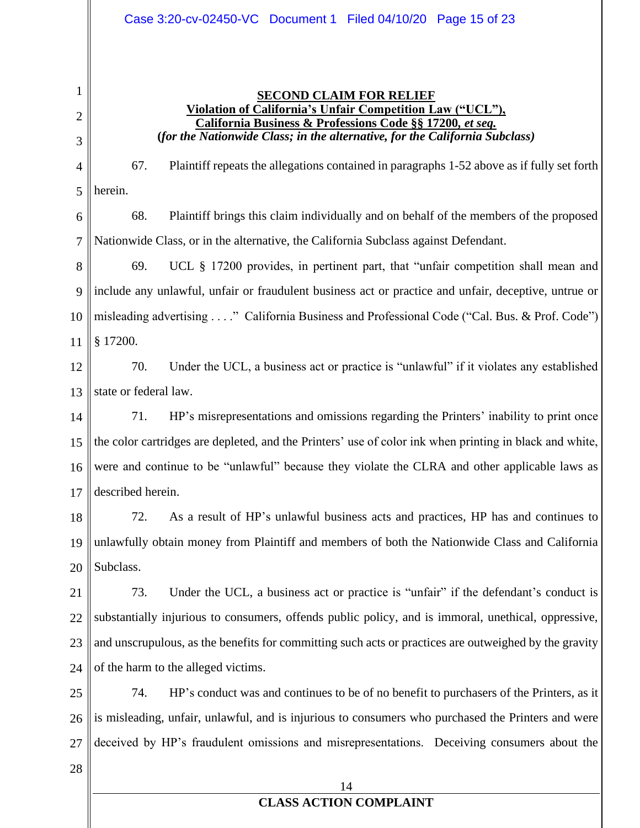#### **SECOND CLAIM FOR RELIEF Violation of California's Unfair Competition Law ("UCL"), California Business & Professions Code §§ 17200***, et seq.* **(***for the Nationwide Class; in the alternative, for the California Subclass)*

4 67. Plaintiff repeats the allegations contained in paragraphs 1-52 above as if fully set forth

5 herein.

1

2

3

6 7 68. Plaintiff brings this claim individually and on behalf of the members of the proposed Nationwide Class, or in the alternative, the California Subclass against Defendant.

8 9 10 11 69. UCL § 17200 provides, in pertinent part, that "unfair competition shall mean and include any unlawful, unfair or fraudulent business act or practice and unfair, deceptive, untrue or misleading advertising . . . ." California Business and Professional Code ("Cal. Bus. & Prof. Code") § 17200.

12 13 70. Under the UCL, a business act or practice is "unlawful" if it violates any established state or federal law.

14 15 16 17 71. HP's misrepresentations and omissions regarding the Printers' inability to print once the color cartridges are depleted, and the Printers' use of color ink when printing in black and white, were and continue to be "unlawful" because they violate the CLRA and other applicable laws as described herein.

18 19 20 72. As a result of HP's unlawful business acts and practices, HP has and continues to unlawfully obtain money from Plaintiff and members of both the Nationwide Class and California Subclass.

21 22 23 24 73. Under the UCL, a business act or practice is "unfair" if the defendant's conduct is substantially injurious to consumers, offends public policy, and is immoral, unethical, oppressive, and unscrupulous, as the benefits for committing such acts or practices are outweighed by the gravity of the harm to the alleged victims.

25 26 27 74. HP's conduct was and continues to be of no benefit to purchasers of the Printers, as it is misleading, unfair, unlawful, and is injurious to consumers who purchased the Printers and were deceived by HP's fraudulent omissions and misrepresentations. Deceiving consumers about the

28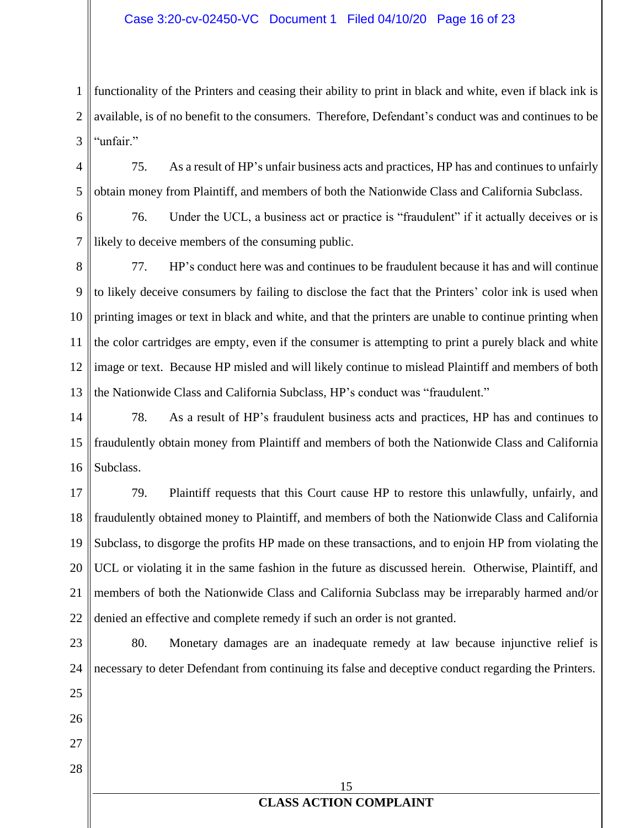#### Case 3:20-cv-02450-VC Document 1 Filed 04/10/20 Page 16 of 23

1 2 3 functionality of the Printers and ceasing their ability to print in black and white, even if black ink is available, is of no benefit to the consumers. Therefore, Defendant's conduct was and continues to be "unfair."

4 5 75. As a result of HP's unfair business acts and practices, HP has and continues to unfairly obtain money from Plaintiff, and members of both the Nationwide Class and California Subclass.

6 7 76. Under the UCL, a business act or practice is "fraudulent" if it actually deceives or is likely to deceive members of the consuming public.

8 9 10 11 12 13 77. HP's conduct here was and continues to be fraudulent because it has and will continue to likely deceive consumers by failing to disclose the fact that the Printers' color ink is used when printing images or text in black and white, and that the printers are unable to continue printing when the color cartridges are empty, even if the consumer is attempting to print a purely black and white image or text. Because HP misled and will likely continue to mislead Plaintiff and members of both the Nationwide Class and California Subclass, HP's conduct was "fraudulent."

14 15 16 78. As a result of HP's fraudulent business acts and practices, HP has and continues to fraudulently obtain money from Plaintiff and members of both the Nationwide Class and California Subclass.

17 18 19 20 21 22 79. Plaintiff requests that this Court cause HP to restore this unlawfully, unfairly, and fraudulently obtained money to Plaintiff, and members of both the Nationwide Class and California Subclass, to disgorge the profits HP made on these transactions, and to enjoin HP from violating the UCL or violating it in the same fashion in the future as discussed herein. Otherwise, Plaintiff, and members of both the Nationwide Class and California Subclass may be irreparably harmed and/or denied an effective and complete remedy if such an order is not granted.

15 **CLASS ACTION COMPLAINT** 23 24 25 26 27 28 80. Monetary damages are an inadequate remedy at law because injunctive relief is necessary to deter Defendant from continuing its false and deceptive conduct regarding the Printers.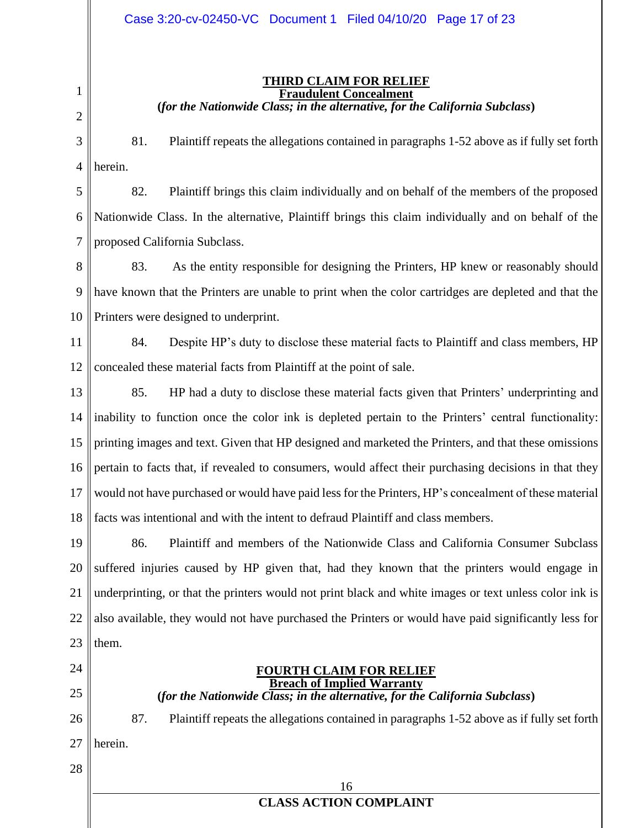1 2

#### **THIRD CLAIM FOR RELIEF Fraudulent Concealment (***for the Nationwide Class; in the alternative, for the California Subclass***)**

3 4 81. Plaintiff repeats the allegations contained in paragraphs 1-52 above as if fully set forth herein.

5 6 7 82. Plaintiff brings this claim individually and on behalf of the members of the proposed Nationwide Class. In the alternative, Plaintiff brings this claim individually and on behalf of the proposed California Subclass.

8 9 10 83. As the entity responsible for designing the Printers, HP knew or reasonably should have known that the Printers are unable to print when the color cartridges are depleted and that the Printers were designed to underprint.

11 12 84. Despite HP's duty to disclose these material facts to Plaintiff and class members, HP concealed these material facts from Plaintiff at the point of sale.

13 14 15 16 17 18 85. HP had a duty to disclose these material facts given that Printers' underprinting and inability to function once the color ink is depleted pertain to the Printers' central functionality: printing images and text. Given that HP designed and marketed the Printers, and that these omissions pertain to facts that, if revealed to consumers, would affect their purchasing decisions in that they would not have purchased or would have paid less for the Printers, HP's concealment of these material facts was intentional and with the intent to defraud Plaintiff and class members.

19 20 21 22 23 86. Plaintiff and members of the Nationwide Class and California Consumer Subclass suffered injuries caused by HP given that, had they known that the printers would engage in underprinting, or that the printers would not print black and white images or text unless color ink is also available, they would not have purchased the Printers or would have paid significantly less for them.

- 24
- 25

26

#### **FOURTH CLAIM FOR RELIEF Breach of Implied Warranty (***for the Nationwide Class; in the alternative, for the California Subclass***)**

87. Plaintiff repeats the allegations contained in paragraphs 1-52 above as if fully set forth

- 27 herein.
- 28

| n                             |  |
|-------------------------------|--|
| <b>CLASS ACTION COMPLAINT</b> |  |
|                               |  |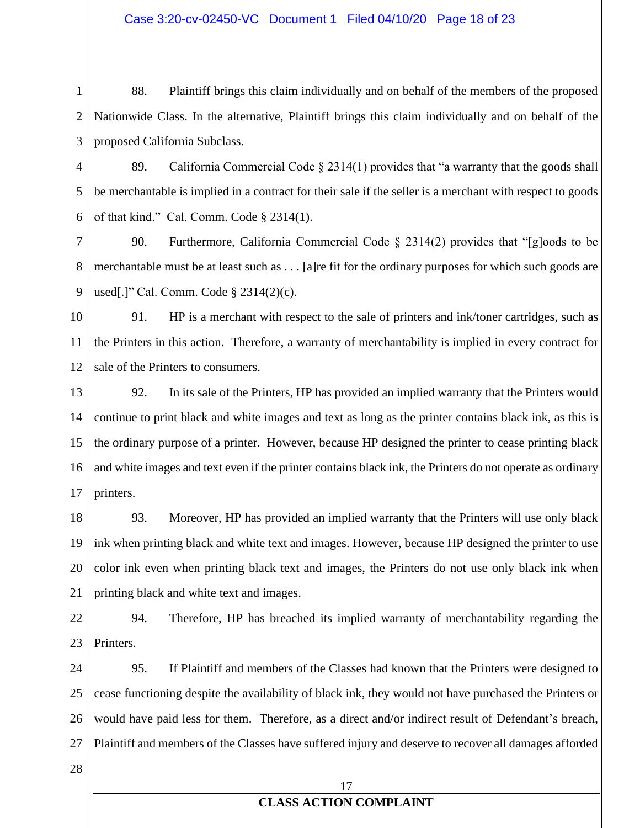#### Case 3:20-cv-02450-VC Document 1 Filed 04/10/20 Page 18 of 23

1 2 3 88. Plaintiff brings this claim individually and on behalf of the members of the proposed Nationwide Class. In the alternative, Plaintiff brings this claim individually and on behalf of the proposed California Subclass.

4 5 6 89. California Commercial Code  $\S 2314(1)$  provides that "a warranty that the goods shall be merchantable is implied in a contract for their sale if the seller is a merchant with respect to goods of that kind." Cal. Comm. Code § 2314(1).

7 8 9 90. Furthermore, California Commercial Code § 2314(2) provides that "[g]oods to be merchantable must be at least such as . . . [a]re fit for the ordinary purposes for which such goods are used[.]" Cal. Comm. Code § 2314(2)(c).

10 11 12 91. HP is a merchant with respect to the sale of printers and ink/toner cartridges, such as the Printers in this action. Therefore, a warranty of merchantability is implied in every contract for sale of the Printers to consumers.

13 14 15 16 17 92. In its sale of the Printers, HP has provided an implied warranty that the Printers would continue to print black and white images and text as long as the printer contains black ink, as this is the ordinary purpose of a printer. However, because HP designed the printer to cease printing black and white images and text even if the printer contains black ink, the Printers do not operate as ordinary printers.

18 19 20 21 93. Moreover, HP has provided an implied warranty that the Printers will use only black ink when printing black and white text and images. However, because HP designed the printer to use color ink even when printing black text and images, the Printers do not use only black ink when printing black and white text and images.

22 23 94. Therefore, HP has breached its implied warranty of merchantability regarding the Printers.

24 25 26 27 95. If Plaintiff and members of the Classes had known that the Printers were designed to cease functioning despite the availability of black ink, they would not have purchased the Printers or would have paid less for them. Therefore, as a direct and/or indirect result of Defendant's breach, Plaintiff and members of the Classes have suffered injury and deserve to recover all damages afforded

28

### 17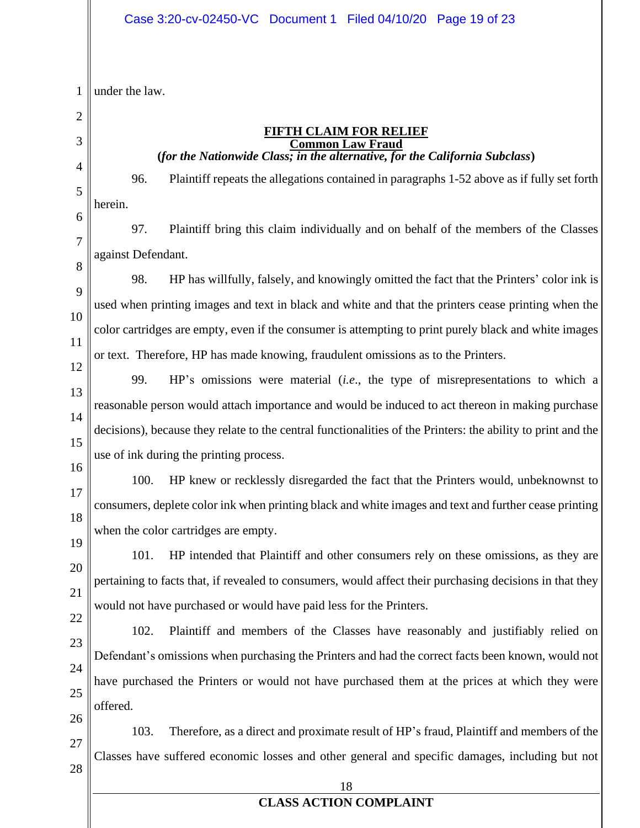1 under the law.

2

3 4

5

#### **FIFTH CLAIM FOR RELIEF Common Law Fraud (***for the Nationwide Class; in the alternative, for the California Subclass***)**

96. Plaintiff repeats the allegations contained in paragraphs 1-52 above as if fully set forth herein.

6 7 8 97. Plaintiff bring this claim individually and on behalf of the members of the Classes against Defendant.

9 10 11 12 98. HP has willfully, falsely, and knowingly omitted the fact that the Printers' color ink is used when printing images and text in black and white and that the printers cease printing when the color cartridges are empty, even if the consumer is attempting to print purely black and white images or text. Therefore, HP has made knowing, fraudulent omissions as to the Printers.

13

14

15

99. HP's omissions were material (*i.e*., the type of misrepresentations to which a reasonable person would attach importance and would be induced to act thereon in making purchase decisions), because they relate to the central functionalities of the Printers: the ability to print and the use of ink during the printing process.

16

17

18

100. HP knew or recklessly disregarded the fact that the Printers would, unbeknownst to consumers, deplete color ink when printing black and white images and text and further cease printing when the color cartridges are empty.

19 20

21

101. HP intended that Plaintiff and other consumers rely on these omissions, as they are pertaining to facts that, if revealed to consumers, would affect their purchasing decisions in that they would not have purchased or would have paid less for the Printers.

22 23

24

25

26

102. Plaintiff and members of the Classes have reasonably and justifiably relied on Defendant's omissions when purchasing the Printers and had the correct facts been known, would not have purchased the Printers or would not have purchased them at the prices at which they were offered.

27 28 103. Therefore, as a direct and proximate result of HP's fraud, Plaintiff and members of the Classes have suffered economic losses and other general and specific damages, including but not

18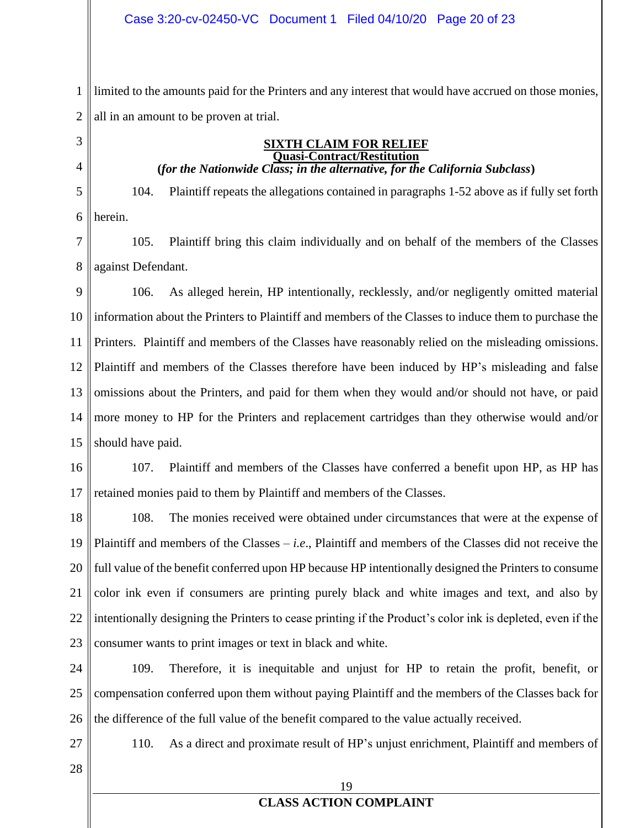1 2 limited to the amounts paid for the Printers and any interest that would have accrued on those monies, all in an amount to be proven at trial.

3

4

5

**(***for the Nationwide Class; in the alternative, for the California Subclass***)** 104. Plaintiff repeats the allegations contained in paragraphs 1-52 above as if fully set forth

**SIXTH CLAIM FOR RELIEF Quasi-Contract/Restitution**

6 herein.

7 8 105. Plaintiff bring this claim individually and on behalf of the members of the Classes against Defendant.

9 10 11 12 13 14 15 106. As alleged herein, HP intentionally, recklessly, and/or negligently omitted material information about the Printers to Plaintiff and members of the Classes to induce them to purchase the Printers. Plaintiff and members of the Classes have reasonably relied on the misleading omissions. Plaintiff and members of the Classes therefore have been induced by HP's misleading and false omissions about the Printers, and paid for them when they would and/or should not have, or paid more money to HP for the Printers and replacement cartridges than they otherwise would and/or should have paid.

16 17 107. Plaintiff and members of the Classes have conferred a benefit upon HP, as HP has retained monies paid to them by Plaintiff and members of the Classes.

18 19 20 21 22 23 108. The monies received were obtained under circumstances that were at the expense of Plaintiff and members of the Classes – *i.e*., Plaintiff and members of the Classes did not receive the full value of the benefit conferred upon HP because HP intentionally designed the Printers to consume color ink even if consumers are printing purely black and white images and text, and also by intentionally designing the Printers to cease printing if the Product's color ink is depleted, even if the consumer wants to print images or text in black and white.

24 25 26 109. Therefore, it is inequitable and unjust for HP to retain the profit, benefit, or compensation conferred upon them without paying Plaintiff and the members of the Classes back for the difference of the full value of the benefit compared to the value actually received.

110. As a direct and proximate result of HP's unjust enrichment, Plaintiff and members of

28

27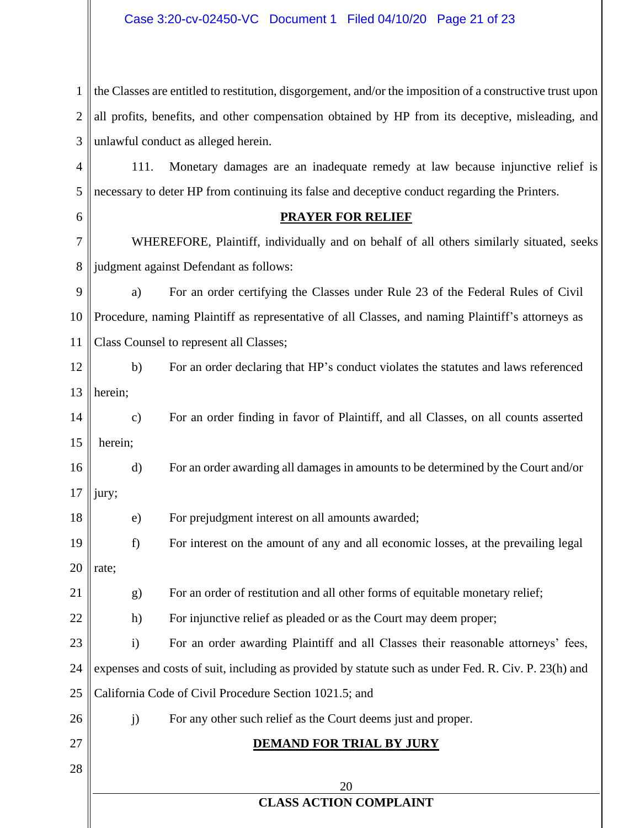#### Case 3:20-cv-02450-VC Document 1 Filed 04/10/20 Page 21 of 23

| 1    the Classes are entitled to restitution, disgorgement, and/or the imposition of a constructive trust upon |
|----------------------------------------------------------------------------------------------------------------|
| $2$ all profits, benefits, and other compensation obtained by HP from its deceptive, misleading, and           |
| $3$ unlawful conduct as alleged herein.                                                                        |

4 5 111. Monetary damages are an inadequate remedy at law because injunctive relief is necessary to deter HP from continuing its false and deceptive conduct regarding the Printers.

#### **PRAYER FOR RELIEF**

7 8 WHEREFORE, Plaintiff, individually and on behalf of all others similarly situated, seeks judgment against Defendant as follows:

9 10 11 a) For an order certifying the Classes under Rule 23 of the Federal Rules of Civil Procedure, naming Plaintiff as representative of all Classes, and naming Plaintiff's attorneys as Class Counsel to represent all Classes;

12 13 b) For an order declaring that HP's conduct violates the statutes and laws referenced herein;

14 15 c) For an order finding in favor of Plaintiff, and all Classes, on all counts asserted herein;

16 17 d) For an order awarding all damages in amounts to be determined by the Court and/or jury;

18 e) For prejudgment interest on all amounts awarded;

19 20 f) For interest on the amount of any and all economic losses, at the prevailing legal rate;

21 g) For an order of restitution and all other forms of equitable monetary relief;

22 h) For injunctive relief as pleaded or as the Court may deem proper;

j) For any other such relief as the Court deems just and proper.

23 24 25 i) For an order awarding Plaintiff and all Classes their reasonable attorneys' fees, expenses and costs of suit, including as provided by statute such as under Fed. R. Civ. P. 23(h) and California Code of Civil Procedure Section 1021.5; and

26 27

6

## **DEMAND FOR TRIAL BY JURY**

28

20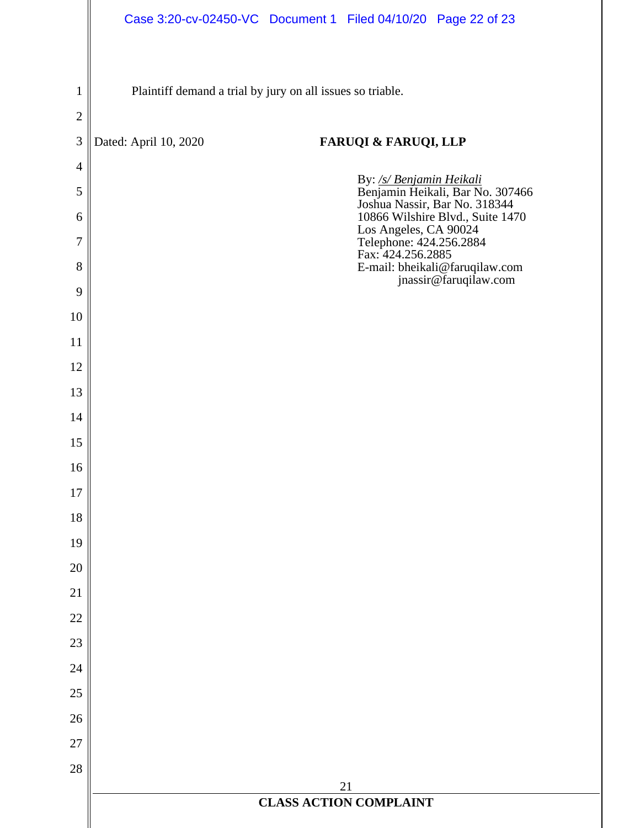|                |                                                            | Case 3:20-cv-02450-VC Document 1 Filed 04/10/20 Page 22 of 23                                 |  |  |  |  |  |  |
|----------------|------------------------------------------------------------|-----------------------------------------------------------------------------------------------|--|--|--|--|--|--|
|                |                                                            |                                                                                               |  |  |  |  |  |  |
| 1              | Plaintiff demand a trial by jury on all issues so triable. |                                                                                               |  |  |  |  |  |  |
| $\sqrt{2}$     |                                                            |                                                                                               |  |  |  |  |  |  |
| $\mathfrak{Z}$ | Dated: April 10, 2020                                      | <b>FARUQI &amp; FARUQI, LLP</b>                                                               |  |  |  |  |  |  |
| $\overline{4}$ |                                                            |                                                                                               |  |  |  |  |  |  |
| 5              |                                                            | By: /s/ Benjamin Heikali<br>Benjamin Heikali, Bar No. 307466<br>Joshua Nassir, Bar No. 318344 |  |  |  |  |  |  |
| 6              |                                                            | 10866 Wilshire Blvd., Suite 1470<br>Los Angeles, CA 90024                                     |  |  |  |  |  |  |
| 7              |                                                            | Telephone: 424.256.2884<br>Fax: 424.256.2885                                                  |  |  |  |  |  |  |
| $8\,$          |                                                            | E-mail: bheikali@faruqilaw.com<br>jnassir@faruqilaw.com                                       |  |  |  |  |  |  |
| 9<br>10        |                                                            |                                                                                               |  |  |  |  |  |  |
| 11             |                                                            |                                                                                               |  |  |  |  |  |  |
| 12             |                                                            |                                                                                               |  |  |  |  |  |  |
| 13             |                                                            |                                                                                               |  |  |  |  |  |  |
| 14             |                                                            |                                                                                               |  |  |  |  |  |  |
| 15             |                                                            |                                                                                               |  |  |  |  |  |  |
| 16             |                                                            |                                                                                               |  |  |  |  |  |  |
| 17             |                                                            |                                                                                               |  |  |  |  |  |  |
| 18             |                                                            |                                                                                               |  |  |  |  |  |  |
| 19             |                                                            |                                                                                               |  |  |  |  |  |  |
| 20             |                                                            |                                                                                               |  |  |  |  |  |  |
| 21             |                                                            |                                                                                               |  |  |  |  |  |  |
| $22\,$         |                                                            |                                                                                               |  |  |  |  |  |  |
| 23             |                                                            |                                                                                               |  |  |  |  |  |  |
| 24             |                                                            |                                                                                               |  |  |  |  |  |  |
| $25\,$         |                                                            |                                                                                               |  |  |  |  |  |  |
| 26             |                                                            |                                                                                               |  |  |  |  |  |  |
| 27             |                                                            |                                                                                               |  |  |  |  |  |  |
| 28             |                                                            | 21                                                                                            |  |  |  |  |  |  |
|                |                                                            | <b>CLASS ACTION COMPLAINT</b>                                                                 |  |  |  |  |  |  |
|                |                                                            |                                                                                               |  |  |  |  |  |  |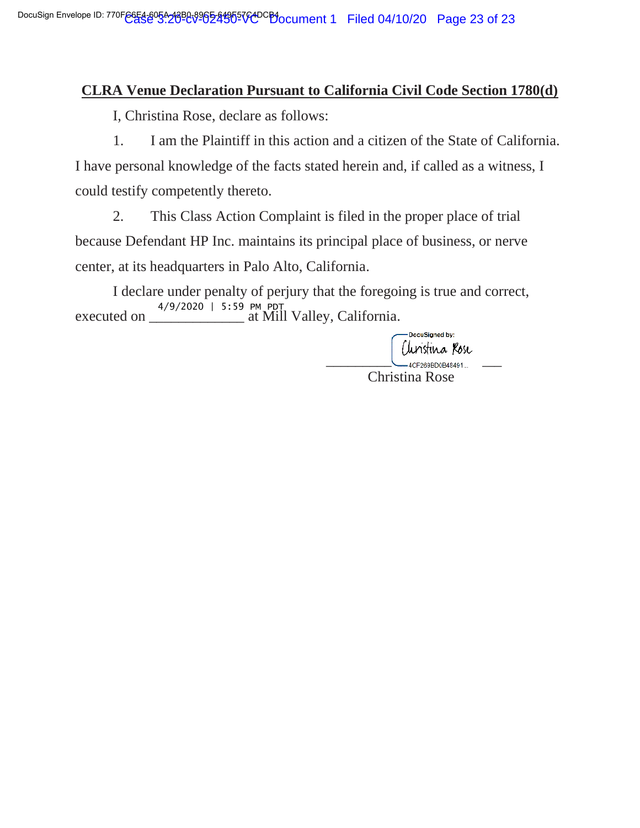### **CLRA Venue Declaration Pursuant to California Civil Code Section 1780(d)**

I, Christina Rose, declare as follows:

1. I am the Plaintiff in this action and a citizen of the State of California. I have personal knowledge of the facts stated herein and, if called as a witness, I could testify competently thereto.

2. This Class Action Complaint is filed in the proper place of trial because Defendant HP Inc. maintains its principal place of business, or nerve center, at its headquarters in Palo Alto, California.

I declare under penalty of perjury that the foregoing is true and correct, executed on \_\_\_\_\_\_\_\_\_\_\_\_\_ at Mill Valley, California. -- 

> DocuSigned by: Clinistina Rose<br>— 4CF209BD0B48491... Christina Rose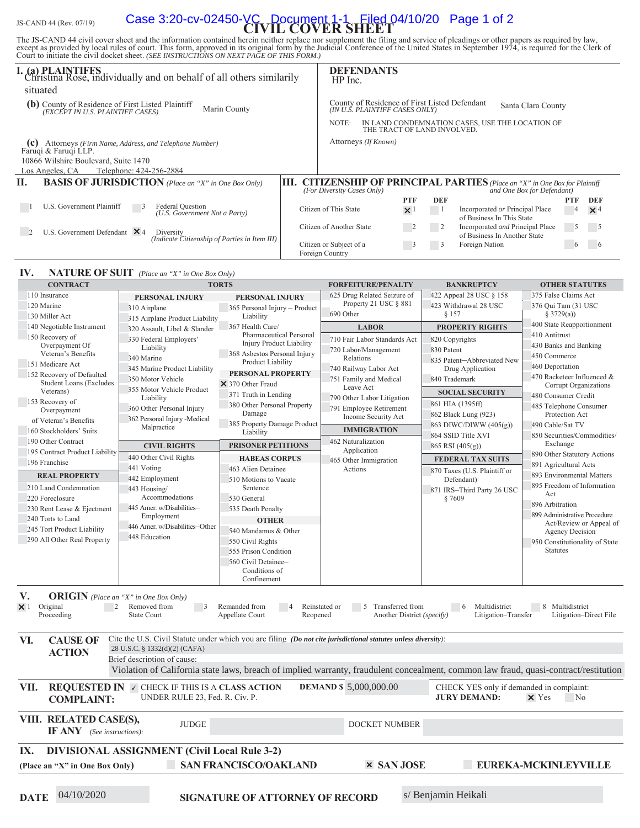# JS-CAND 44 (Rev. 07/19) **Case 3:20-cv-02450-VC Document 1-1 Filed 04/10/20** Page 1 of 2

The JS-CAND 44 civil cover sheet and the information contained herein neither replace nor supplement the filing and service of pleadings or other papers as required by law, except as provided by local rules of court. This

| <b>I. (a) PLAINTIFFS</b><br>Christina Rose, individually and on behalf of all others similarily       |    | $HP$ Inc.                                  | <b>DEFENDANTS</b>                                                               |            |            |                                                                                                              |                |            |
|-------------------------------------------------------------------------------------------------------|----|--------------------------------------------|---------------------------------------------------------------------------------|------------|------------|--------------------------------------------------------------------------------------------------------------|----------------|------------|
| situated                                                                                              |    |                                            |                                                                                 |            |            |                                                                                                              |                |            |
| (b) County of Residence of First Listed Plaintiff<br>Marin County<br>(EXCEPT IN U.S. PLAINTIFF CASES) |    |                                            | County of Residence of First Listed Defendant<br>(IN U.S. PLAINTIFF CASES ONLY) |            |            | Santa Clara County                                                                                           |                |            |
|                                                                                                       |    | NOTE:                                      | THE TRACT OF LAND INVOLVED.                                                     |            |            | IN LAND CONDEMNATION CASES, USE THE LOCATION OF                                                              |                |            |
| (c)<br>Attorneys (Firm Name, Address, and Telephone Number)<br>Faruqi & Faruqi LLP.                   |    |                                            | Attorneys (If Known)                                                            |            |            |                                                                                                              |                |            |
| 10866 Wilshire Boulevard, Suite 1470                                                                  |    |                                            |                                                                                 |            |            |                                                                                                              |                |            |
| Los Angeles. CA<br>Telephone: 424-256-2884                                                            |    |                                            |                                                                                 |            |            |                                                                                                              |                |            |
| Н.<br><b>BASIS OF JURISDICTION</b> (Place an "X" in One Box Only)                                     | Ш. | (For Diversity Cases Only)                 |                                                                                 |            |            | <b>CITIZENSHIP OF PRINCIPAL PARTIES</b> (Place an "X" in One Box for Plaintiff<br>and One Box for Defendant) |                |            |
|                                                                                                       |    |                                            |                                                                                 | <b>PTF</b> | <b>DEF</b> |                                                                                                              | <b>PTF</b>     | DEF        |
| U.S. Government Plaintiff<br>Federal Question<br>(U.S. Government Not a Party)                        |    | Citizen of This State                      |                                                                                 | $\times$ 1 |            | Incorporated or Principal Place<br>of Business In This State                                                 | $\overline{4}$ | $\times$ 4 |
| U.S. Government Defendant $\times$ 4<br>Diversity<br>(Indicate Citizenship of Parties in Item III)    |    | Citizen of Another State                   |                                                                                 |            |            | Incorporated and Principal Place<br>of Business In Another State                                             | $\mathfrak{c}$ |            |
|                                                                                                       |    | Citizen or Subject of a<br>Foreign Country |                                                                                 |            | 3          | Foreign Nation                                                                                               | $\circ$        |            |

#### **IV. NATURE OF SUIT** (Place an "X" in One Box Only)

| <b>CONTRACT</b>                                                                                                                                                                                                                                           |                                                                           | <b>TORTS</b>                                                                                                                         | <b>FORFEITURE/PENALTY</b>                                            | <b>BANKRUPTCY</b>                                       | <b>OTHER STATUTES</b>                                   |  |  |  |
|-----------------------------------------------------------------------------------------------------------------------------------------------------------------------------------------------------------------------------------------------------------|---------------------------------------------------------------------------|--------------------------------------------------------------------------------------------------------------------------------------|----------------------------------------------------------------------|---------------------------------------------------------|---------------------------------------------------------|--|--|--|
| 110 Insurance                                                                                                                                                                                                                                             | PERSONAL INJURY                                                           | PERSONAL INJURY                                                                                                                      | 625 Drug Related Seizure of                                          | 422 Appeal 28 USC § 158                                 | 375 False Claims Act                                    |  |  |  |
| 120 Marine                                                                                                                                                                                                                                                | 310 Airplane                                                              | 365 Personal Injury - Product                                                                                                        | Property 21 USC § 881                                                | 423 Withdrawal 28 USC                                   | 376 Qui Tam (31 USC                                     |  |  |  |
| 130 Miller Act                                                                                                                                                                                                                                            | 315 Airplane Product Liability                                            | Liability                                                                                                                            | 690 Other                                                            | § 157                                                   | § 3729(a))                                              |  |  |  |
| 140 Negotiable Instrument                                                                                                                                                                                                                                 | 320 Assault, Libel & Slander                                              | 367 Health Care/                                                                                                                     | <b>LABOR</b>                                                         | <b>PROPERTY RIGHTS</b>                                  | 400 State Reapportionment                               |  |  |  |
| 150 Recovery of                                                                                                                                                                                                                                           | 330 Federal Employers'                                                    | Pharmaceutical Personal                                                                                                              | 710 Fair Labor Standards Act                                         | 820 Copyrights                                          | 410 Antitrust                                           |  |  |  |
| Overpayment Of                                                                                                                                                                                                                                            | Liability                                                                 | <b>Injury Product Liability</b>                                                                                                      | 720 Labor/Management                                                 | 830 Patent                                              | 430 Banks and Banking                                   |  |  |  |
| Veteran's Benefits                                                                                                                                                                                                                                        | 340 Marine                                                                | 368 Asbestos Personal Injury                                                                                                         | Relations                                                            | 835 Patent-Abbreviated New                              | 450 Commerce                                            |  |  |  |
| 151 Medicare Act                                                                                                                                                                                                                                          | 345 Marine Product Liability                                              | Product Liability                                                                                                                    | 740 Railway Labor Act                                                | Drug Application                                        | 460 Deportation                                         |  |  |  |
| 152 Recovery of Defaulted                                                                                                                                                                                                                                 | 350 Motor Vehicle                                                         | <b>PERSONAL PROPERTY</b>                                                                                                             | 751 Family and Medical                                               | 840 Trademark                                           | 470 Racketeer Influenced &                              |  |  |  |
| <b>Student Loans (Excludes</b><br>Veterans)                                                                                                                                                                                                               | 355 Motor Vehicle Product                                                 | × 370 Other Fraud                                                                                                                    | Leave Act                                                            |                                                         | Corrupt Organizations                                   |  |  |  |
|                                                                                                                                                                                                                                                           | Liability                                                                 | 371 Truth in Lending                                                                                                                 | 790 Other Labor Litigation                                           | <b>SOCIAL SECURITY</b>                                  | 480 Consumer Credit                                     |  |  |  |
| 153 Recovery of<br>Overpayment                                                                                                                                                                                                                            | 360 Other Personal Injury                                                 | 380 Other Personal Property                                                                                                          | 791 Employee Retirement                                              | 861 HIA (1395ff)                                        | 485 Telephone Consumer                                  |  |  |  |
| of Veteran's Benefits                                                                                                                                                                                                                                     | 362 Personal Injury -Medical                                              | Damage                                                                                                                               | Income Security Act                                                  | 862 Black Lung (923)                                    | Protection Act                                          |  |  |  |
| 160 Stockholders' Suits                                                                                                                                                                                                                                   | Malpractice                                                               | 385 Property Damage Product<br>Liability                                                                                             | <b>IMMIGRATION</b>                                                   | 863 DIWC/DIWW (405(g))                                  | 490 Cable/Sat TV                                        |  |  |  |
| 190 Other Contract                                                                                                                                                                                                                                        |                                                                           |                                                                                                                                      | 462 Naturalization                                                   | 864 SSID Title XVI                                      | 850 Securities/Commodities/                             |  |  |  |
| 195 Contract Product Liability                                                                                                                                                                                                                            | <b>CIVIL RIGHTS</b>                                                       | PRISONER PETITIONS                                                                                                                   | Application                                                          | 865 RSI (405(g))                                        | Exchange                                                |  |  |  |
| 196 Franchise                                                                                                                                                                                                                                             | 440 Other Civil Rights                                                    | <b>HABEAS CORPUS</b>                                                                                                                 | 465 Other Immigration                                                | <b>FEDERAL TAX SUITS</b>                                | 890 Other Statutory Actions                             |  |  |  |
|                                                                                                                                                                                                                                                           | 441 Voting                                                                | 463 Alien Detainee                                                                                                                   | Actions                                                              | 870 Taxes (U.S. Plaintiff or                            | 891 Agricultural Acts                                   |  |  |  |
| <b>REAL PROPERTY</b>                                                                                                                                                                                                                                      | 442 Employment                                                            | 510 Motions to Vacate                                                                                                                |                                                                      | Defendant)                                              | 893 Environmental Matters                               |  |  |  |
| 210 Land Condemnation                                                                                                                                                                                                                                     | 443 Housing/                                                              | Sentence                                                                                                                             |                                                                      | 871 IRS-Third Party 26 USC                              | 895 Freedom of Information                              |  |  |  |
| 220 Foreclosure                                                                                                                                                                                                                                           | Accommodations                                                            | 530 General                                                                                                                          |                                                                      | § 7609                                                  | Act                                                     |  |  |  |
| 230 Rent Lease & Ejectment                                                                                                                                                                                                                                | 445 Amer. w/Disabilities-                                                 | 535 Death Penalty                                                                                                                    |                                                                      |                                                         | 896 Arbitration                                         |  |  |  |
| 240 Torts to Land                                                                                                                                                                                                                                         | Employment                                                                | <b>OTHER</b>                                                                                                                         |                                                                      |                                                         | 899 Administrative Procedure<br>Act/Review or Appeal of |  |  |  |
| 245 Tort Product Liability                                                                                                                                                                                                                                | 446 Amer. w/Disabilities-Other                                            | 540 Mandamus & Other                                                                                                                 |                                                                      |                                                         | <b>Agency Decision</b>                                  |  |  |  |
| 290 All Other Real Property                                                                                                                                                                                                                               | 448 Education                                                             | 550 Civil Rights                                                                                                                     |                                                                      |                                                         | 950 Constitutionality of State                          |  |  |  |
|                                                                                                                                                                                                                                                           |                                                                           | 555 Prison Condition                                                                                                                 |                                                                      |                                                         | <b>Statutes</b>                                         |  |  |  |
|                                                                                                                                                                                                                                                           |                                                                           | 560 Civil Detainee-                                                                                                                  |                                                                      |                                                         |                                                         |  |  |  |
|                                                                                                                                                                                                                                                           |                                                                           | Conditions of                                                                                                                        |                                                                      |                                                         |                                                         |  |  |  |
|                                                                                                                                                                                                                                                           |                                                                           | Confinement                                                                                                                          |                                                                      |                                                         |                                                         |  |  |  |
| V.<br><b>ORIGIN</b> (Place an "X" in One Box Only)<br>Original<br>2<br>$\times$ 1<br>Proceeding                                                                                                                                                           | Removed from<br>$\overline{\phantom{a}}$<br><b>State Court</b>            | Remanded from<br>Appellate Court<br>Reopened                                                                                         | Reinstated or<br>5<br>Transferred from<br>Another District (specify) | $6\overline{6}$<br>Multidistrict<br>Litigation-Transfer | 8 Multidistrict<br>Litigation-Direct File               |  |  |  |
| VI.<br><b>CAUSE OF</b>                                                                                                                                                                                                                                    |                                                                           | Cite the U.S. Civil Statute under which you are filing (Do not cite jurisdictional statutes unless diversity):                       |                                                                      |                                                         |                                                         |  |  |  |
| <b>ACTION</b>                                                                                                                                                                                                                                             | 28 U.S.C. § 1332(d)(2) (CAFA)                                             |                                                                                                                                      |                                                                      |                                                         |                                                         |  |  |  |
|                                                                                                                                                                                                                                                           | Brief description of cause:                                               |                                                                                                                                      |                                                                      |                                                         |                                                         |  |  |  |
|                                                                                                                                                                                                                                                           |                                                                           | Violation of California state laws, breach of implied warranty, fraudulent concealment, common law fraud, quasi-contract/restitution |                                                                      |                                                         |                                                         |  |  |  |
| VII.<br><b>REQUESTED IN V CHECK IF THIS IS A CLASS ACTION</b><br><b>DEMAND \$5,000,000.00</b><br>CHECK YES only if demanded in complaint:<br>UNDER RULE 23, Fed. R. Civ. P.<br><b>JURY DEMAND:</b><br>$\times$ Yes<br>N <sub>o</sub><br><b>COMPLAINT:</b> |                                                                           |                                                                                                                                      |                                                                      |                                                         |                                                         |  |  |  |
| VIII. RELATED CASE(S),<br><b>JUDGE</b><br>DOCKET NUMBER<br><b>IF ANY</b> (See instructions):                                                                                                                                                              |                                                                           |                                                                                                                                      |                                                                      |                                                         |                                                         |  |  |  |
| IX.                                                                                                                                                                                                                                                       | <b>DIVISIONAL ASSIGNMENT (Civil Local Rule 3-2)</b>                       |                                                                                                                                      |                                                                      |                                                         |                                                         |  |  |  |
| (Place an "X" in One Box Only)                                                                                                                                                                                                                            | <b>SAN FRANCISCO/OAKLAND</b><br><b>× SAN JOSE</b><br>EUREKA-MCKINLEYVILLE |                                                                                                                                      |                                                                      |                                                         |                                                         |  |  |  |
|                                                                                                                                                                                                                                                           |                                                                           |                                                                                                                                      |                                                                      |                                                         |                                                         |  |  |  |
|                                                                                                                                                                                                                                                           |                                                                           |                                                                                                                                      |                                                                      |                                                         |                                                         |  |  |  |
| 04/10/2020<br><b>DATE</b>                                                                                                                                                                                                                                 |                                                                           | <b>SIGNATURE OF ATTORNEY OF RECORD</b>                                                                                               |                                                                      | s/ Benjamin Heikali                                     |                                                         |  |  |  |